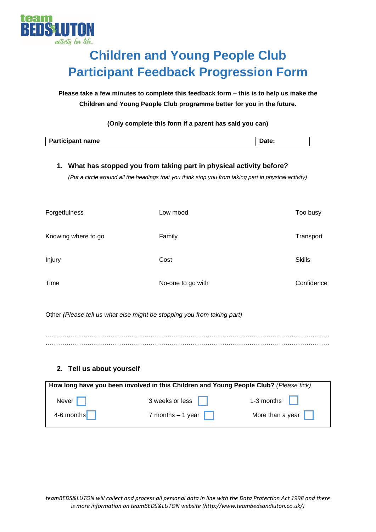

# **Children and Young People Club Participant Feedback Progression Form**

**Please take a few minutes to complete this feedback form – this is to help us make the Children and Young People Club programme better for you in the future.**

#### **(Only complete this form if a parent has said you can)**

| <b>Participant name</b> | Date. |
|-------------------------|-------|
|                         |       |

## **1. What has stopped you from taking part in physical activity before?**

*(Put a circle around all the headings that you think stop you from taking part in physical activity)*

| Forgetfulness       | Low mood          | Too busy      |
|---------------------|-------------------|---------------|
| Knowing where to go | Family            | Transport     |
| Injury              | Cost              | <b>Skills</b> |
| Time                | No-one to go with | Confidence    |

Other *(Please tell us what else might be stopping you from taking part)*

……………………………………………………………………………………………………………………… ………………………………………………………………………………………………………………………

#### **2. Tell us about yourself**

| How long have you been involved in this Children and Young People Club? (Please tick) |                    |                    |  |  |  |  |
|---------------------------------------------------------------------------------------|--------------------|--------------------|--|--|--|--|
| Never                                                                                 | 3 weeks or less    | 1-3 months $\vert$ |  |  |  |  |
| 4-6 months                                                                            | 7 months $-1$ year | More than a year   |  |  |  |  |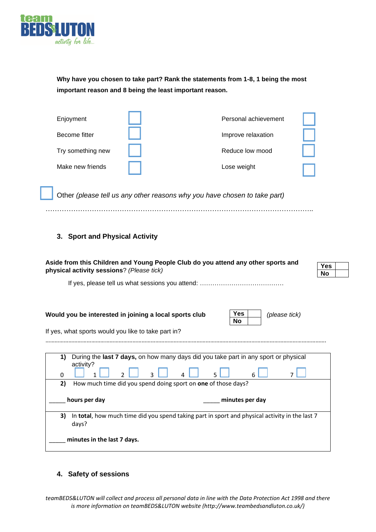

**Why have you chosen to take part? Rank the statements from 1-8, 1 being the most important reason and 8 being the least important reason.**

| Enjoyment         | Personal achievement |  |
|-------------------|----------------------|--|
| Become fitter     | Improve relaxation   |  |
| Try something new | Reduce low mood      |  |
| Make new friends  | Lose weight          |  |

Other *(please tell us any other reasons why you have chosen to take part)*

#### ……………………………………………………………………………………………………..

## **3. Sport and Physical Activity**

| Aside from this Children and Young People Club do you attend any other sports and                                                                                                                                                            |     |  |
|----------------------------------------------------------------------------------------------------------------------------------------------------------------------------------------------------------------------------------------------|-----|--|
|                                                                                                                                                                                                                                              | Yes |  |
| physical activity sessions? (Please tick)                                                                                                                                                                                                    | No  |  |
|                                                                                                                                                                                                                                              |     |  |
| Yes.<br>Would you be interested in joining a local sports club<br>(please tick)<br>No                                                                                                                                                        |     |  |
| If yes, what sports would you like to take part in?                                                                                                                                                                                          |     |  |
| During the last 7 days, on how many days did you take part in any sport or physical<br>1)<br>activity?<br>$\mathcal{L}$<br>6<br>0<br>2)<br>How much time did you spend doing sport on one of those days?<br>hours per day<br>minutes per day |     |  |
| In total, how much time did you spend taking part in sport and physical activity in the last 7<br>3)<br>days?<br>minutes in the last 7 days.                                                                                                 |     |  |
|                                                                                                                                                                                                                                              |     |  |

#### **4. Safety of sessions**

*teamBEDS&LUTON will collect and process all personal data in line with the Data Protection Act 1998 and there is more information on teamBEDS&LUTON website (http://www.teambedsandluton.co.uk/)*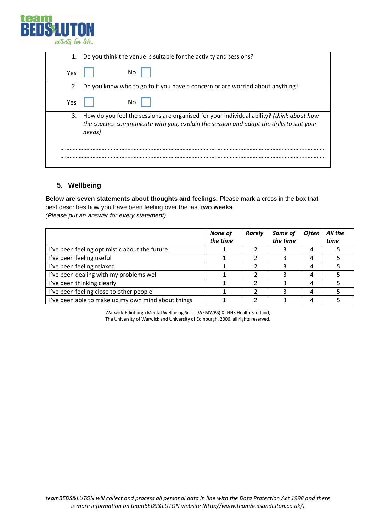

| 1.  | Do you think the venue is suitable for the activity and sessions?                                                                                                                             |
|-----|-----------------------------------------------------------------------------------------------------------------------------------------------------------------------------------------------|
| Yes | No.                                                                                                                                                                                           |
| 2.  | Do you know who to go to if you have a concern or are worried about anything?                                                                                                                 |
| Yes | No                                                                                                                                                                                            |
| 3.  | How do you feel the sessions are organised for your individual ability? (think about how<br>the coaches communicate with you, explain the session and adapt the drills to suit your<br>needs) |
|     |                                                                                                                                                                                               |
|     |                                                                                                                                                                                               |
|     |                                                                                                                                                                                               |

### **5. Wellbeing**

**Below are seven statements about thoughts and feelings.** Please mark a cross in the box that best describes how you have been feeling over the last **two weeks**. *(Please put an answer for every statement)*

|                                                    | None of<br>the time | <b>Rarely</b> | Some of<br>the time | <b>Often</b> | All the<br>time |
|----------------------------------------------------|---------------------|---------------|---------------------|--------------|-----------------|
| I've been feeling optimistic about the future      |                     |               |                     |              |                 |
| I've been feeling useful                           |                     |               |                     | 4            |                 |
| I've been feeling relaxed                          |                     |               |                     |              |                 |
| I've been dealing with my problems well            |                     |               |                     |              |                 |
| I've been thinking clearly                         |                     |               |                     |              |                 |
| I've been feeling close to other people            |                     |               |                     |              |                 |
| I've been able to make up my own mind about things |                     |               |                     |              |                 |

Warwick-Edinburgh Mental Wellbeing Scale (WEMWBS) © NHS Health Scotland, The University of Warwick and University of Edinburgh, 2006, all rights reserved.